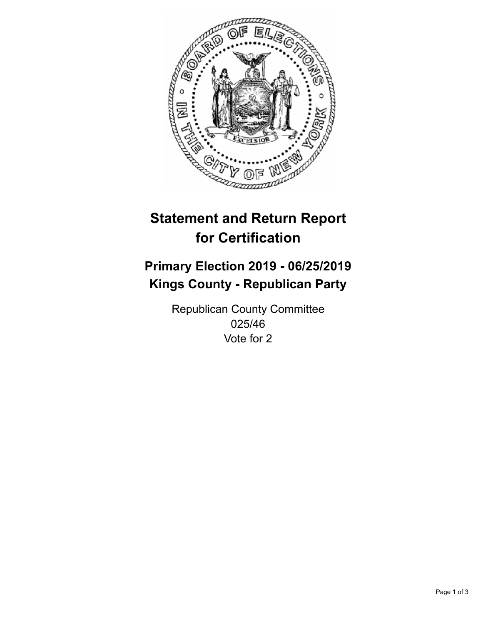

## **Statement and Return Report for Certification**

## **Primary Election 2019 - 06/25/2019 Kings County - Republican Party**

Republican County Committee 025/46 Vote for 2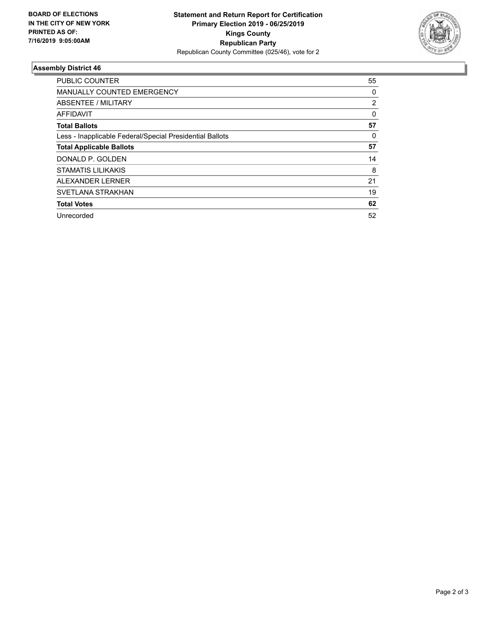

## **Assembly District 46**

| <b>PUBLIC COUNTER</b>                                    | 55       |
|----------------------------------------------------------|----------|
| <b>MANUALLY COUNTED EMERGENCY</b>                        | 0        |
| ABSENTEE / MILITARY                                      | 2        |
| AFFIDAVIT                                                | $\Omega$ |
| <b>Total Ballots</b>                                     | 57       |
| Less - Inapplicable Federal/Special Presidential Ballots | 0        |
| <b>Total Applicable Ballots</b>                          | 57       |
| DONALD P. GOLDEN                                         | 14       |
| <b>STAMATIS LILIKAKIS</b>                                | 8        |
| ALEXANDER LERNER                                         | 21       |
| SVETLANA STRAKHAN                                        | 19       |
| <b>Total Votes</b>                                       | 62       |
| Unrecorded                                               | 52       |